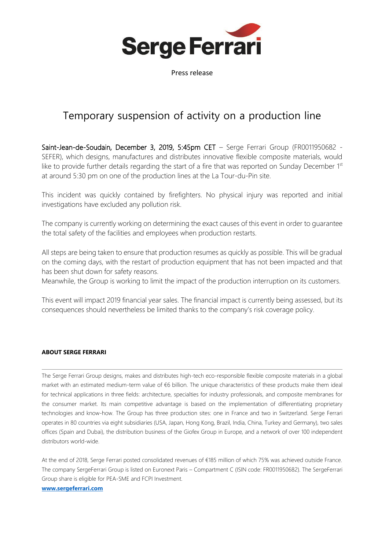

Press release

# Temporary suspension of activity on a production line

Saint-Jean-de-Soudain, December 3, 2019, 5:45pm CET - Serge Ferrari Group (FR0011950682 -SEFER), which designs, manufactures and distributes innovative flexible composite materials, would like to provide further details regarding the start of a fire that was reported on Sunday December  $1<sup>st</sup>$ at around 5:30 pm on one of the production lines at the La Tour-du-Pin site.

This incident was quickly contained by firefighters. No physical injury was reported and initial investigations have excluded any pollution risk.

The company is currently working on determining the exact causes of this event in order to guarantee the total safety of the facilities and employees when production restarts.

All steps are being taken to ensure that production resumes as quickly as possible. This will be gradual on the coming days, with the restart of production equipment that has not been impacted and that has been shut down for safety reasons.

Meanwhile, the Group is working to limit the impact of the production interruption on its customers.

This event will impact 2019 financial year sales. The financial impact is currently being assessed, but its consequences should nevertheless be limited thanks to the company's risk coverage policy.

## **ABOUT SERGE FERRARI**

The Serge Ferrari Group designs, makes and distributes high-tech eco-responsible flexible composite materials in a global market with an estimated medium-term value of €6 billion. The unique characteristics of these products make them ideal for technical applications in three fields: architecture, specialties for industry professionals, and composite membranes for the consumer market. Its main competitive advantage is based on the implementation of differentiating proprietary technologies and know-how. The Group has three production sites: one in France and two in Switzerland. Serge Ferrari operates in 80 countries via eight subsidiaries (USA, Japan, Hong Kong, Brazil, India, China, Turkey and Germany), two sales offices (Spain and Dubai), the distribution business of the Giofex Group in Europe, and a network of over 100 independent distributors world-wide.

At the end of 2018, Serge Ferrari posted consolidated revenues of €185 million of which 75% was achieved outside France. The company SergeFerrari Group is listed on Euronext Paris – Compartment C (ISIN code: FR0011950682). The SergeFerrari Group share is eligible for PEA-SME and FCPI Investment. **[www.sergeferrari.com](http://www.sergeferrari.com/)**